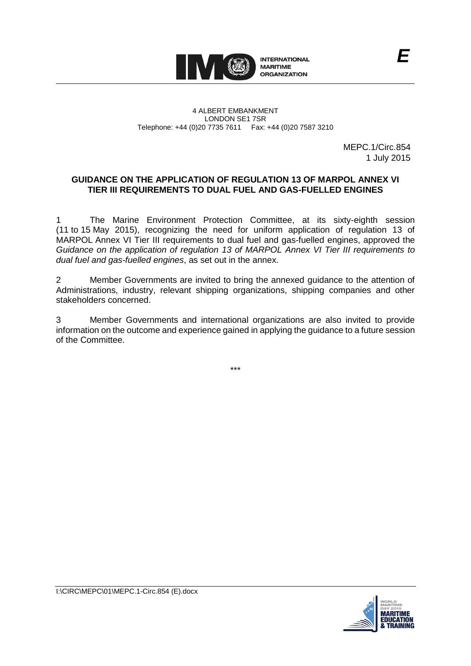

## 4 ALBERT EMBANKMENT LONDON SE1 7SR Telephone: +44 (0)20 7735 7611 Fax: +44 (0)20 7587 3210

MEPC.1/Circ.854 1 July 2015

*E*

## **GUIDANCE ON THE APPLICATION OF REGULATION 13 OF MARPOL ANNEX VI TIER III REQUIREMENTS TO DUAL FUEL AND GAS-FUELLED ENGINES**

1 The Marine Environment Protection Committee, at its sixty-eighth session (11 to 15 May 2015), recognizing the need for uniform application of regulation 13 of MARPOL Annex VI Tier III requirements to dual fuel and gas-fuelled engines, approved the *Guidance on the application of regulation 13 of MARPOL Annex VI Tier III requirements to dual fuel and gas-fuelled engines*, as set out in the annex.

2 Member Governments are invited to bring the annexed guidance to the attention of Administrations, industry, relevant shipping organizations, shipping companies and other stakeholders concerned.

3 Member Governments and international organizations are also invited to provide information on the outcome and experience gained in applying the guidance to a future session of the Committee.

\*\*\*

**MARITIME**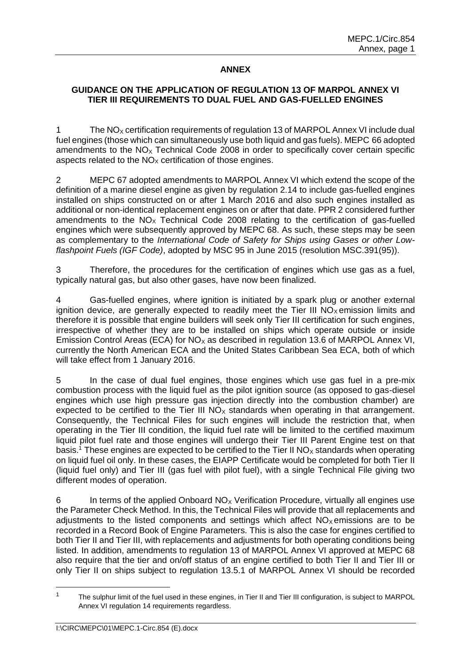## **ANNEX**

## **GUIDANCE ON THE APPLICATION OF REGULATION 13 OF MARPOL ANNEX VI TIER III REQUIREMENTS TO DUAL FUEL AND GAS-FUELLED ENGINES**

1 The NO<sub>x</sub> certification requirements of regulation 13 of MARPOL Annex VI include dual fuel engines (those which can simultaneously use both liquid and gas fuels). MEPC 66 adopted amendments to the  $NO<sub>x</sub>$  Technical Code 2008 in order to specifically cover certain specific aspects related to the  $NO<sub>x</sub>$  certification of those engines.

2 MEPC 67 adopted amendments to MARPOL Annex VI which extend the scope of the definition of a marine diesel engine as given by regulation 2.14 to include gas-fuelled engines installed on ships constructed on or after 1 March 2016 and also such engines installed as additional or non-identical replacement engines on or after that date. PPR 2 considered further amendments to the  $NO<sub>x</sub>$  Technical Code 2008 relating to the certification of gas-fuelled engines which were subsequently approved by MEPC 68. As such, these steps may be seen as complementary to the *International Code of Safety for Ships using Gases or other Lowflashpoint Fuels (IGF Code)*, adopted by MSC 95 in June 2015 (resolution MSC.391(95)).

3 Therefore, the procedures for the certification of engines which use gas as a fuel, typically natural gas, but also other gases, have now been finalized.

4 Gas-fuelled engines, where ignition is initiated by a spark plug or another external ignition device, are generally expected to readily meet the Tier III  $NO<sub>x</sub>$  emission limits and therefore it is possible that engine builders will seek only Tier III certification for such engines, irrespective of whether they are to be installed on ships which operate outside or inside Emission Control Areas (ECA) for  $NO<sub>x</sub>$  as described in regulation 13.6 of MARPOL Annex VI, currently the North American ECA and the United States Caribbean Sea ECA, both of which will take effect from 1 January 2016.

5 In the case of dual fuel engines, those engines which use gas fuel in a pre-mix combustion process with the liquid fuel as the pilot ignition source (as opposed to gas-diesel engines which use high pressure gas injection directly into the combustion chamber) are expected to be certified to the Tier III  $NO<sub>x</sub>$  standards when operating in that arrangement. Consequently, the Technical Files for such engines will include the restriction that, when operating in the Tier III condition, the liquid fuel rate will be limited to the certified maximum liquid pilot fuel rate and those engines will undergo their Tier III Parent Engine test on that basis.<sup>1</sup> These engines are expected to be certified to the Tier II NO<sub>X</sub> standards when operating on liquid fuel oil only. In these cases, the EIAPP Certificate would be completed for both Tier II (liquid fuel only) and Tier III (gas fuel with pilot fuel), with a single Technical File giving two different modes of operation.

6 In terms of the applied Onboard  $NO<sub>x</sub>$  Verification Procedure, virtually all engines use the Parameter Check Method. In this, the Technical Files will provide that all replacements and adjustments to the listed components and settings which affect  $NO<sub>x</sub>$  emissions are to be recorded in a Record Book of Engine Parameters. This is also the case for engines certified to both Tier II and Tier III, with replacements and adjustments for both operating conditions being listed. In addition, amendments to regulation 13 of MARPOL Annex VI approved at MEPC 68 also require that the tier and on/off status of an engine certified to both Tier II and Tier III or only Tier II on ships subject to regulation 13.5.1 of MARPOL Annex VI should be recorded

 $\overline{a}$ 

<sup>&</sup>lt;sup>1</sup> The sulphur limit of the fuel used in these engines, in Tier II and Tier III configuration, is subject to MARPOL Annex VI regulation 14 requirements regardless.